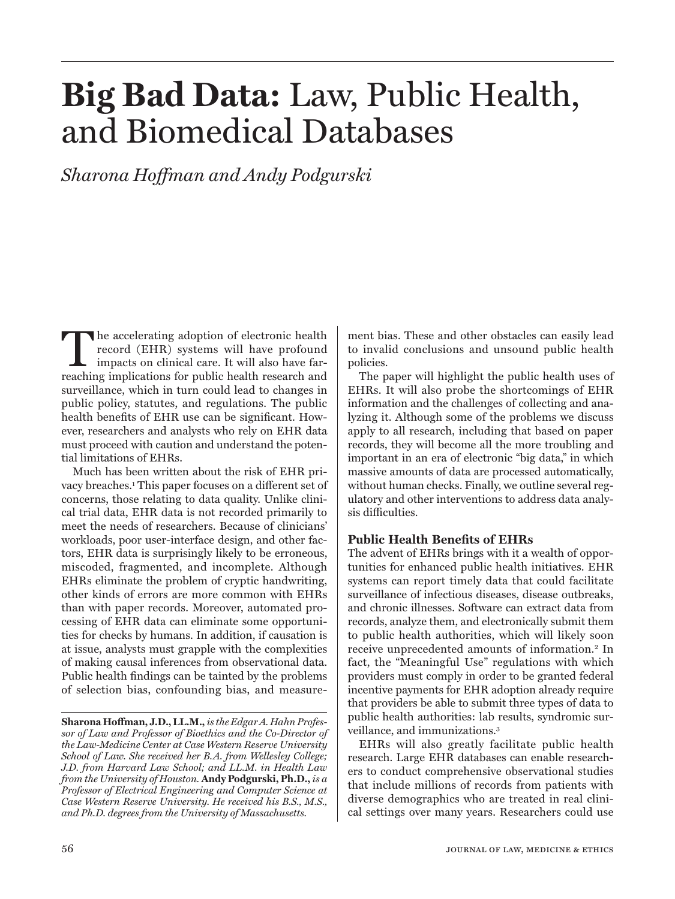# **Big Bad Data:** Law, Public Health, and Biomedical Databases

*Sharona Hoffman and Andy Podgurski*

r eaching implications for public health research and The accelerating adoption of electronic health record (EHR) systems will have profound impacts on clinical care. It will also have farsurveillance, which in turn could lead to changes in public policy, statutes, and regulations. The public health benefits of EHR use can be significant. However, researchers and analysts who rely on EHR data must proceed with caution and understand the potential limitations of EHRs.

Much has been written about the risk of EHR privacy breaches.1 This paper focuses on a different set of concerns, those relating to data quality. Unlike clinical trial data, EHR data is not recorded primarily to meet the needs of researchers. Because of clinicians' workloads, poor user-interface design, and other factors, EHR data is surprisingly likely to be erroneous, miscoded, fragmented, and incomplete. Although EHRs eliminate the problem of cryptic handwriting, other kinds of errors are more common with EHRs than with paper records. Moreover, automated processing of EHR data can eliminate some opportunities for checks by humans. In addition, if causation is at issue, analysts must grapple with the complexities of making causal inferences from observational data. Public health findings can be tainted by the problems of selection bias, confounding bias, and measure-

ment bias. These and other obstacles can easily lead to invalid conclusions and unsound public health policies.

The paper will highlight the public health uses of EHRs. It will also probe the shortcomings of EHR information and the challenges of collecting and analyzing it. Although some of the problems we discuss apply to all research, including that based on paper records, they will become all the more troubling and important in an era of electronic "big data," in which massive amounts of data are processed automatically, without human checks. Finally, we outline several regulatory and other interventions to address data analysis difficulties.

# **Public Health Benefits of EHRs**

The advent of EHRs brings with it a wealth of opportunities for enhanced public health initiatives. EHR systems can report timely data that could facilitate surveillance of infectious diseases, disease outbreaks, and chronic illnesses. Software can extract data from records, analyze them, and electronically submit them to public health authorities, which will likely soon receive unprecedented amounts of information.2 In fact, the "Meaningful Use" regulations with which providers must comply in order to be granted federal incentive payments for EHR adoption already require that providers be able to submit three types of data to public health authorities: lab results, syndromic surveillance, and immunizations.3

EHRs will also greatly facilitate public health research. Large EHR databases can enable researchers to conduct comprehensive observational studies that include millions of records from patients with diverse demographics who are treated in real clinical settings over many years. Researchers could use

**Sharona Hoffman, J.D., LL.M.,** *is the Edgar A. Hahn Professor of Law and Professor of Bioethics and the Co-Director of the Law-Medicine Center at Case Western Reserve University School of Law. She received her B.A. from Wellesley College; J.D. from Harvard Law School; and LL.M. in Health Law from the University of Houston.* **Andy Podgurski, Ph.D.,** *is a Professor of Electrical Engineering and Computer Science at Case Western Reserve University. He received his B.S., M.S., and Ph.D. degrees from the University of Massachusetts.*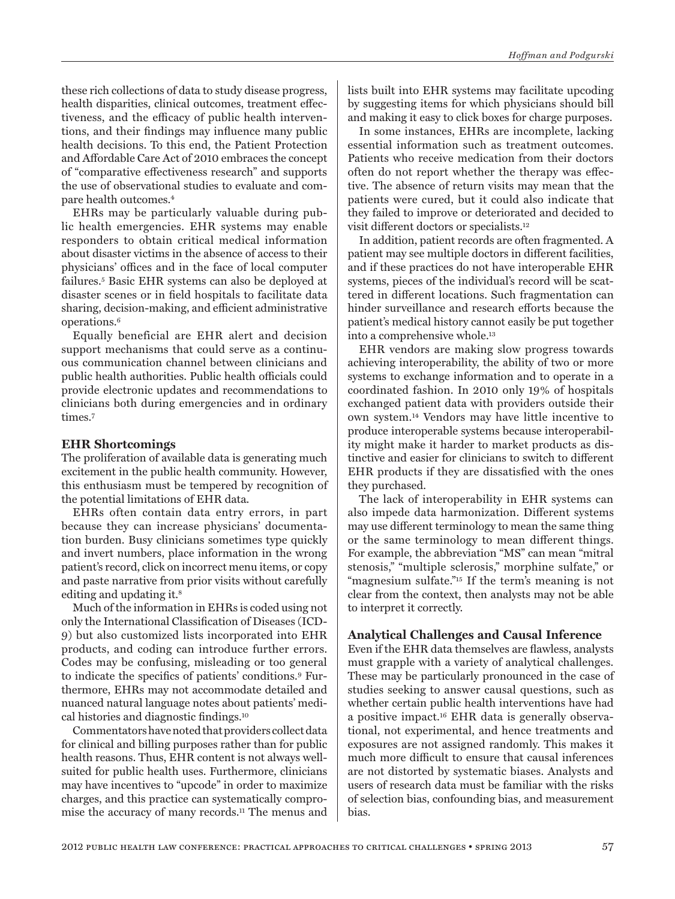these rich collections of data to study disease progress, health disparities, clinical outcomes, treatment effectiveness, and the efficacy of public health interventions, and their findings may influence many public health decisions. To this end, the Patient Protection and Affordable Care Act of 2010 embraces the concept of "comparative effectiveness research" and supports the use of observational studies to evaluate and compare health outcomes.4

EHRs may be particularly valuable during public health emergencies. EHR systems may enable responders to obtain critical medical information about disaster victims in the absence of access to their physicians' offices and in the face of local computer failures.5 Basic EHR systems can also be deployed at disaster scenes or in field hospitals to facilitate data sharing, decision-making, and efficient administrative operations.6

Equally beneficial are EHR alert and decision support mechanisms that could serve as a continuous communication channel between clinicians and public health authorities. Public health officials could provide electronic updates and recommendations to clinicians both during emergencies and in ordinary times.7

### **EHR Shortcomings**

The proliferation of available data is generating much excitement in the public health community. However, this enthusiasm must be tempered by recognition of the potential limitations of EHR data.

EHRs often contain data entry errors, in part because they can increase physicians' documentation burden. Busy clinicians sometimes type quickly and invert numbers, place information in the wrong patient's record, click on incorrect menu items, or copy and paste narrative from prior visits without carefully editing and updating it.8

Much of the information in EHRs is coded using not only the International Classification of Diseases (ICD-9) but also customized lists incorporated into EHR products, and coding can introduce further errors. Codes may be confusing, misleading or too general to indicate the specifics of patients' conditions.9 Furthermore, EHRs may not accommodate detailed and nuanced natural language notes about patients' medical histories and diagnostic findings.10

Commentators have noted that providers collect data for clinical and billing purposes rather than for public health reasons. Thus, EHR content is not always wellsuited for public health uses. Furthermore, clinicians may have incentives to "upcode" in order to maximize charges, and this practice can systematically compromise the accuracy of many records.11 The menus and lists built into EHR systems may facilitate upcoding by suggesting items for which physicians should bill and making it easy to click boxes for charge purposes.

In some instances, EHRs are incomplete, lacking essential information such as treatment outcomes. Patients who receive medication from their doctors often do not report whether the therapy was effective. The absence of return visits may mean that the patients were cured, but it could also indicate that they failed to improve or deteriorated and decided to visit different doctors or specialists.12

In addition, patient records are often fragmented. A patient may see multiple doctors in different facilities, and if these practices do not have interoperable EHR systems, pieces of the individual's record will be scattered in different locations. Such fragmentation can hinder surveillance and research efforts because the patient's medical history cannot easily be put together into a comprehensive whole.13

EHR vendors are making slow progress towards achieving interoperability, the ability of two or more systems to exchange information and to operate in a coordinated fashion. In 2010 only 19% of hospitals exchanged patient data with providers outside their own system.14 Vendors may have little incentive to produce interoperable systems because interoperability might make it harder to market products as distinctive and easier for clinicians to switch to different EHR products if they are dissatisfied with the ones they purchased.

The lack of interoperability in EHR systems can also impede data harmonization. Different systems may use different terminology to mean the same thing or the same terminology to mean different things. For example, the abbreviation "MS" can mean "mitral stenosis," "multiple sclerosis," morphine sulfate," or "magnesium sulfate."<sup>15</sup> If the term's meaning is not clear from the context, then analysts may not be able to interpret it correctly.

# **Analytical Challenges and Causal Inference**

Even if the EHR data themselves are flawless, analysts must grapple with a variety of analytical challenges. These may be particularly pronounced in the case of studies seeking to answer causal questions, such as whether certain public health interventions have had a positive impact.16 EHR data is generally observational, not experimental, and hence treatments and exposures are not assigned randomly. This makes it much more difficult to ensure that causal inferences are not distorted by systematic biases. Analysts and users of research data must be familiar with the risks of selection bias, confounding bias, and measurement bias.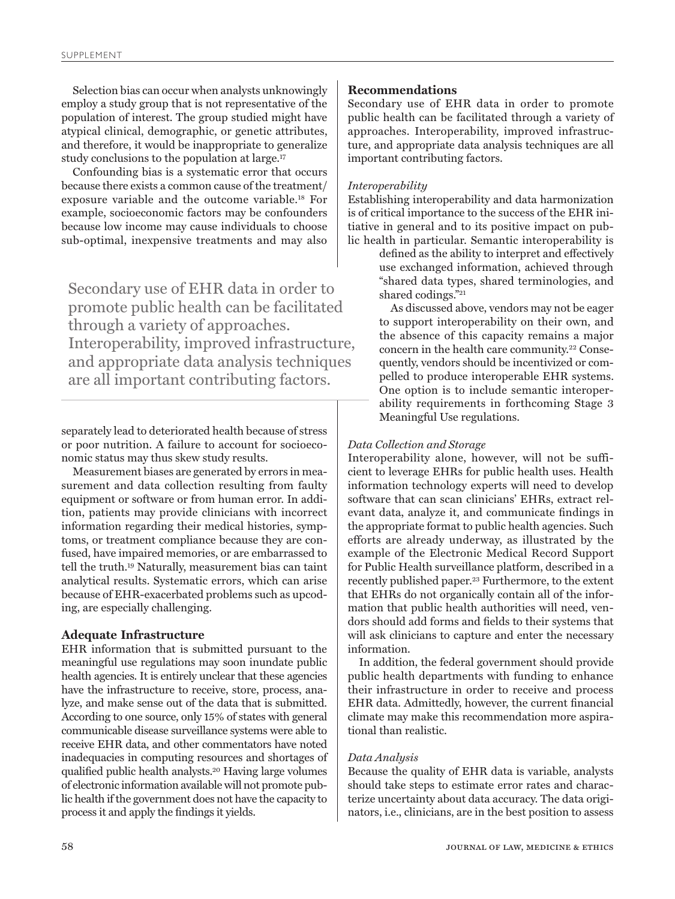Selection bias can occur when analysts unknowingly employ a study group that is not representative of the population of interest. The group studied might have atypical clinical, demographic, or genetic attributes, and therefore, it would be inappropriate to generalize study conclusions to the population at large.17

Confounding bias is a systematic error that occurs because there exists a common cause of the treatment/ exposure variable and the outcome variable.18 For example, socioeconomic factors may be confounders because low income may cause individuals to choose sub-optimal, inexpensive treatments and may also

Secondary use of EHR data in order to promote public health can be facilitated through a variety of approaches. Interoperability, improved infrastructure, and appropriate data analysis techniques are all important contributing factors.

separately lead to deteriorated health because of stress or poor nutrition. A failure to account for socioeconomic status may thus skew study results.

Measurement biases are generated by errors in measurement and data collection resulting from faulty equipment or software or from human error. In addition, patients may provide clinicians with incorrect information regarding their medical histories, symptoms, or treatment compliance because they are confused, have impaired memories, or are embarrassed to tell the truth.19 Naturally, measurement bias can taint analytical results. Systematic errors, which can arise because of EHR-exacerbated problems such as upcoding, are especially challenging.

# **Adequate Infrastructure**

EHR information that is submitted pursuant to the meaningful use regulations may soon inundate public health agencies. It is entirely unclear that these agencies have the infrastructure to receive, store, process, analyze, and make sense out of the data that is submitted. According to one source, only 15% of states with general communicable disease surveillance systems were able to receive EHR data, and other commentators have noted inadequacies in computing resources and shortages of qualified public health analysts.20 Having large volumes of electronic information available will not promote public health if the government does not have the capacity to process it and apply the findings it yields.

# **Recommendations**

Secondary use of EHR data in order to promote public health can be facilitated through a variety of approaches. Interoperability, improved infrastructure, and appropriate data analysis techniques are all important contributing factors.

# *Interoperability*

Establishing interoperability and data harmonization is of critical importance to the success of the EHR initiative in general and to its positive impact on public health in particular. Semantic interoperability is

> defined as the ability to interpret and effectively use exchanged information, achieved through "shared data types, shared terminologies, and shared codings."21

As discussed above, vendors may not be eager to support interoperability on their own, and the absence of this capacity remains a major concern in the health care community.22 Consequently, vendors should be incentivized or compelled to produce interoperable EHR systems. One option is to include semantic interoperability requirements in forthcoming Stage 3 Meaningful Use regulations.

# *Data Collection and Storage*

Interoperability alone, however, will not be sufficient to leverage EHRs for public health uses. Health information technology experts will need to develop software that can scan clinicians' EHRs, extract relevant data, analyze it, and communicate findings in the appropriate format to public health agencies. Such efforts are already underway, as illustrated by the example of the Electronic Medical Record Support for Public Health surveillance platform, described in a recently published paper.23 Furthermore, to the extent that EHRs do not organically contain all of the information that public health authorities will need, vendors should add forms and fields to their systems that will ask clinicians to capture and enter the necessary information.

In addition, the federal government should provide public health departments with funding to enhance their infrastructure in order to receive and process EHR data. Admittedly, however, the current financial climate may make this recommendation more aspirational than realistic.

### *Data Analysis*

Because the quality of EHR data is variable, analysts should take steps to estimate error rates and characterize uncertainty about data accuracy. The data originators, i.e., clinicians, are in the best position to assess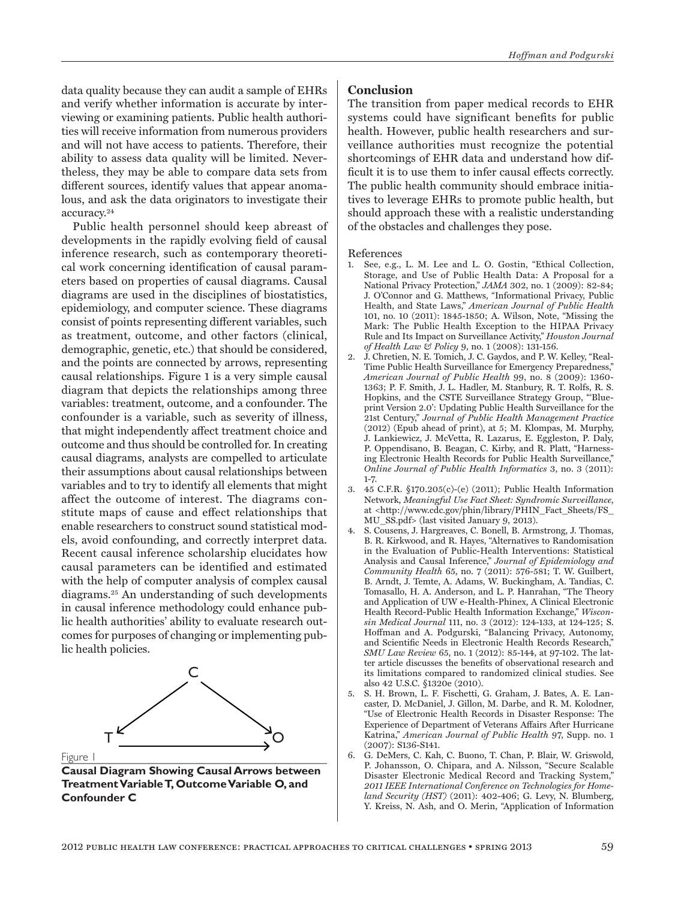data quality because they can audit a sample of EHRs and verify whether information is accurate by interviewing or examining patients. Public health authorities will receive information from numerous providers and will not have access to patients. Therefore, their ability to assess data quality will be limited. Nevertheless, they may be able to compare data sets from different sources, identify values that appear anomalous, and ask the data originators to investigate their accuracy.24

Public health personnel should keep abreast of developments in the rapidly evolving field of causal inference research, such as contemporary theoretical work concerning identification of causal parameters based on properties of causal diagrams. Causal diagrams are used in the disciplines of biostatistics, epidemiology, and computer science. These diagrams consist of points representing different variables, such as treatment, outcome, and other factors (clinical, demographic, genetic, etc.) that should be considered, and the points are connected by arrows, representing causal relationships. Figure 1 is a very simple causal diagram that depicts the relationships among three variables: treatment, outcome, and a confounder. The confounder is a variable, such as severity of illness, that might independently affect treatment choice and outcome and thus should be controlled for. In creating causal diagrams, analysts are compelled to articulate their assumptions about causal relationships between variables and to try to identify all elements that might affect the outcome of interest. The diagrams constitute maps of cause and effect relationships that enable researchers to construct sound statistical models, avoid confounding, and correctly interpret data. Recent causal inference scholarship elucidates how causal parameters can be identified and estimated with the help of computer analysis of complex causal diagrams.25 An understanding of such developments in causal inference methodology could enhance public health authorities' ability to evaluate research outcomes for purposes of changing or implementing public health policies.



**Causal Diagram Showing Causal Arrows between Treatment Variable T, Outcome Variable O, and Confounder C**

Figure 1

# **Conclusion**

The transition from paper medical records to EHR systems could have significant benefits for public health. However, public health researchers and surveillance authorities must recognize the potential shortcomings of EHR data and understand how difficult it is to use them to infer causal effects correctly. The public health community should embrace initiatives to leverage EHRs to promote public health, but should approach these with a realistic understanding of the obstacles and challenges they pose.

#### References

- 1. See, e.g., L. M. Lee and L. O. Gostin, "Ethical Collection, Storage, and Use of Public Health Data: A Proposal for a National Privacy Protection," *JAMA* 302, no. 1 (2009): 82-84; J. O'Connor and G. Matthews, "Informational Privacy, Public Health, and State Laws," *American Journal of Public Health*  101, no. 10 (2011): 1845-1850; A. Wilson, Note, "Missing the Mark: The Public Health Exception to the HIPAA Privacy Rule and Its Impact on Surveillance Activity," *Houston Journal of Health Law & Policy* 9, no. 1 (2008): 131-156.
- 2. J. Chretien, N. E. Tomich, J. C. Gaydos, and P. W. Kelley, "Real-Time Public Health Surveillance for Emergency Preparedness," *American Journal of Public Health* 99, no. 8 (2009): 1360- 1363; P. F. Smith, J. L. Hadler, M. Stanbury, R. T. Rolfs, R. S. Hopkins, and the CSTE Surveillance Strategy Group, "'Blueprint Version 2.0': Updating Public Health Surveillance for the 21st Century," *Journal of Public Health Management Practice* (2012) (Epub ahead of print), at 5; M. Klompas, M. Murphy, J. Lankiewicz, J. McVetta, R. Lazarus, E. Eggleston, P. Daly, P. Oppendisano, B. Beagan, C. Kirby, and R. Platt, "Harnessing Electronic Health Records for Public Health Surveillance," *Online Journal of Public Health Informatics* 3, no. 3 (2011): 1-7.
- 3. 45 C.F.R. §170.205(c)-(e) (2011); Public Health Information Network, *Meaningful Use Fact Sheet: Syndromic Surveillance*, at <http://www.cdc.gov/phin/library/PHIN\_Fact\_Sheets/FS\_ MU\_SS.pdf> (last visited January 9, 2013).
- 4. S. Cousens, J. Hargreaves, C. Bonell, B. Armstrong, J. Thomas, B. R. Kirkwood, and R. Hayes, "Alternatives to Randomisation in the Evaluation of Public-Health Interventions: Statistical Analysis and Causal Inference," *Journal of Epidemiology and Community Health* 65, no. 7 (2011): 576-581; T. W. Guilbert, B. Arndt, J. Temte, A. Adams, W. Buckingham, A. Tandias, C. Tomasallo, H. A. Anderson, and L. P. Hanrahan, "The Theory and Application of UW e-Health-Phinex, A Clinical Electronic Health Record-Public Health Information Exchange," *Wisconsin Medical Journal* 111, no. 3 (2012): 124-133, at 124-125; S. Hoffman and A. Podgurski, "Balancing Privacy, Autonomy, and Scientific Needs in Electronic Health Records Research," *SMU Law Review* 65, no. 1 (2012): 85-144, at 97-102. The latter article discusses the benefits of observational research and its limitations compared to randomized clinical studies. See also 42 U.S.C. §1320e (2010).
- 5. S. H. Brown, L. F. Fischetti, G. Graham, J. Bates, A. E. Lancaster, D. McDaniel, J. Gillon, M. Darbe, and R. M. Kolodner, "Use of Electronic Health Records in Disaster Response: The Experience of Department of Veterans Affairs After Hurricane Katrina," *American Journal of Public Health* 97, Supp. no. 1 (2007): S136-S141.
- 6. G. DeMers, C. Kah, C. Buono, T. Chan, P. Blair, W. Griswold, P. Johansson, O. Chipara, and A. Nilsson, "Secure Scalable Disaster Electronic Medical Record and Tracking System," *2011 IEEE International Conference on Technologies for Homeland Security (HST)* (2011): 402-406; G. Levy, N. Blumberg, Y. Kreiss, N. Ash, and O. Merin, "Application of Information